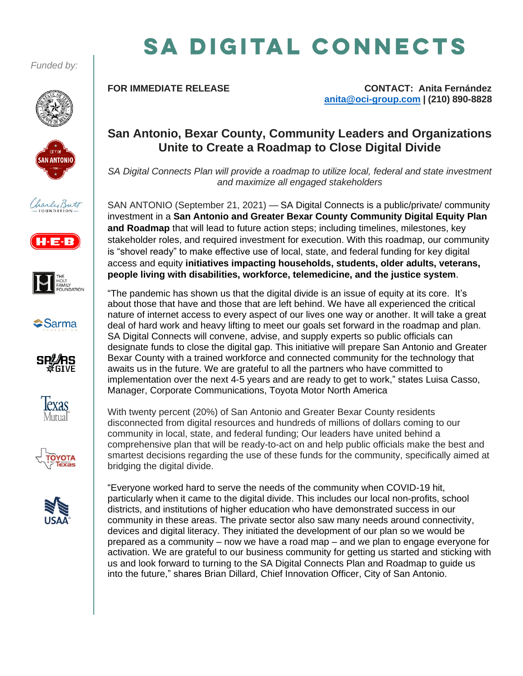*Funded by:*





















# SA DIGITAL CONNECTS

**FOR IMMEDIATE RELEASE CONTACT: Anita Fernández [anita@oci-group.com](mailto:anita@oci-group.com) | (210) 890-8828**

### **San Antonio, Bexar County, Community Leaders and Organizations Unite to Create a Roadmap to Close Digital Divide**

*SA Digital Connects Plan will provide a roadmap to utilize local, federal and state investment and maximize all engaged stakeholders*

SAN ANTONIO (September 21, 2021) — SA Digital Connects is a public/private/ community investment in a **San Antonio and Greater Bexar County Community Digital Equity Plan and Roadmap** that will lead to future action steps; including timelines, milestones, key stakeholder roles, and required investment for execution. With this roadmap, our community is "shovel ready" to make effective use of local, state, and federal funding for key digital access and equity **initiatives impacting households, students, older adults, veterans, people living with disabilities, workforce, telemedicine, and the justice system**.

"The pandemic has shown us that the digital divide is an issue of equity at its core. It's about those that have and those that are left behind. We have all experienced the critical nature of internet access to every aspect of our lives one way or another. It will take a great deal of hard work and heavy lifting to meet our goals set forward in the roadmap and plan. SA Digital Connects will convene, advise, and supply experts so public officials can designate funds to close the digital gap. This initiative will prepare San Antonio and Greater Bexar County with a trained workforce and connected community for the technology that awaits us in the future. We are grateful to all the partners who have committed to implementation over the next 4-5 years and are ready to get to work," states Luisa Casso, Manager, Corporate Communications, Toyota Motor North America

With twenty percent (20%) of San Antonio and Greater Bexar County residents disconnected from digital resources and hundreds of millions of dollars coming to our community in local, state, and federal funding; Our leaders have united behind a comprehensive plan that will be ready-to-act on and help public officials make the best and smartest decisions regarding the use of these funds for the community, specifically aimed at bridging the digital divide.

"Everyone worked hard to serve the needs of the community when COVID-19 hit, particularly when it came to the digital divide. This includes our local non-profits, school districts, and institutions of higher education who have demonstrated success in our community in these areas. The private sector also saw many needs around connectivity, devices and digital literacy. They initiated the development of our plan so we would be prepared as a community – now we have a road map – and we plan to engage everyone for activation. We are grateful to our business community for getting us started and sticking with us and look forward to turning to the SA Digital Connects Plan and Roadmap to guide us into the future," shares Brian Dillard, Chief Innovation Officer, City of San Antonio.